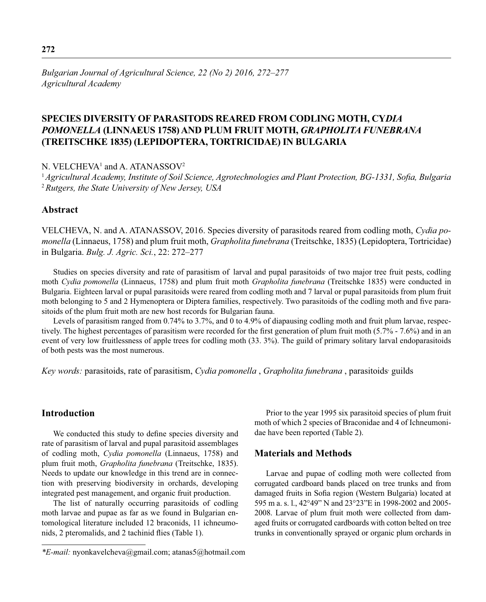*Bulgarian Journal of Agricultural Science, 22 (No 2) 2016, 272–277 Agricultural Academy*

# **SPECIES DIVERSITY OF PARASITODS REARED FROM CODLING MOTH, CY***DIA POMONELLA* **(LINNAEUS 1758) AND PLUM FRUIT MOTH,** *GRAPHOLITA FUNEBRANA*  **(TREITSCHKE 1835) (LEPIDOPTERA, TORTRICIDAE) IN BULGARIA**

N.  $VELCHEVA<sup>1</sup>$  and A.  $ATANASSOV<sup>2</sup>$ 

<sup>1</sup> Agricultural Academy, Institute of Soil Science, Agrotechnologies and Plant Protection, BG-1331, Sofia, Bulgaria <sup>2</sup>*Rutgers, the State University of New Jersey, USA* 

### **Abstract**

VELCHEVA, N. and A. ATANASSOV, 2016. Species diversity of parasitods reared from codling moth, *Cydia pomonella* (Linnaeus, 1758) and plum fruit moth, *Grapholita funebrana* (Treitschke, 1835) (Lepidoptera, Tortricidae) in Bulgaria. *Bulg. J. Agric. Sci.*, 22: 272–277

Studies on species diversity and rate of parasitism of larval and pupal parasitoids of two major tree fruit pests, codling moth *Cydia pomonella* (Linnaeus, 1758) and plum fruit moth *Grapholita funebrana* (Treitschke 1835) were conducted in Bulgaria. Eighteen larval or pupal parasitoids were reared from codling moth and 7 larval or pupal parasitoids from plum fruit moth belonging to 5 and 2 Hymenoptera or Diptera families, respectively. Two parasitoids of the codling moth and five parasitoids of the plum fruit moth are new host records for Bulgarian fauna.

Levels of parasitism ranged from 0.74% to 3.7%, and 0 to 4.9% of diapausing codling moth and fruit plum larvae, respectively. The highest percentages of parasitism were recorded for the first generation of plum fruit moth (5.7% - 7.6%) and in an event of very low fruitlessness of apple trees for codling moth (33. 3%). The guild of primary solitary larval endoparasitoids of both pests was the most numerous.

*Key words:* parasitoids, rate of parasitism, *Cydia pomonella* , *Grapholita funebrana* , parasitoids, guilds

# **Introduction**

We conducted this study to define species diversity and rate of parasitism of larval and pupal parasitoid assemblages of codling moth, *Cydia pomonella* (Linnaeus, 1758) and plum fruit moth, *Grapholita funebrana* (Treitschke, 1835). Needs to update our knowledge in this trend are in connection with preserving biodiversity in orchards, developing integrated pest management, and organic fruit production.

The list of naturally occurring parasitoids of codling moth larvae and pupae as far as we found in Bulgarian entomological literature included 12 braconids, 11 ichneumonids, 2 pteromalids, and 2 tachinid flies (Table 1).

Prior to the year 1995 six parasitoid species of plum fruit moth of which 2 species of Braconidae and 4 of Ichneumonidae have been reported (Table 2).

### **Materials and Methods**

Larvae and pupae of codling moth were collected from corrugated cardboard bands placed on tree trunks and from damaged fruits in Sofia region (Western Bulgaria) located at 595 m a. s. l., 42°49" N and 23°23"E in 1998-2002 and 2005- 2008. Larvae of plum fruit moth were collected from damaged fruits or corrugated cardboards with cotton belted on tree trunks in conventionally sprayed or organic plum orchards in

*<sup>\*</sup>E-mail:* nyonkavelcheva@gmail.com; atanas5@hotmail.com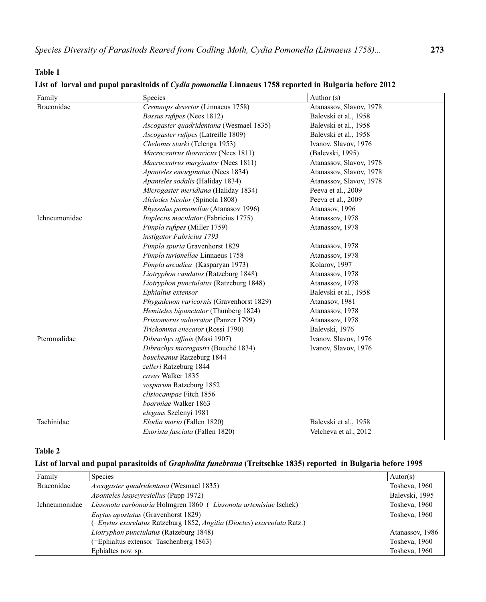# **Table 1**

| Family        | Species                                  | Author $(s)$            |
|---------------|------------------------------------------|-------------------------|
| Braconidae    | Cremnops desertor (Linnaeus 1758)        | Atanassov, Slavov, 1978 |
|               | Bassus rufipes (Nees 1812)               | Balevski et al., 1958   |
|               | Ascogaster quadridentana (Wesmael 1835)  | Balevski et al., 1958   |
|               | Ascogaster rufipes (Latreille 1809)      | Balevski et al., 1958   |
|               | Chelonus starki (Telenga 1953)           | Ivanov, Slavov, 1976    |
|               | Macrocentrus thoracicus (Nees 1811)      | (Balevski, 1995)        |
|               | Macrocentrus marginator (Nees 1811)      | Atanassov, Slavov, 1978 |
|               | Apanteles emarginatus (Nees 1834)        | Atanassov, Slavov, 1978 |
|               | Apanteles sodalis (Haliday 1834)         | Atanassov, Slavov, 1978 |
|               | Microgaster meridiana (Haliday 1834)     | Peeva et al., 2009      |
|               | Aleiodes bicolor (Spinola 1808)          | Peeva et al., 2009      |
|               | Rhyssalus pomonellae (Atanasov 1996)     | Atanasov, 1996          |
| Ichneumonidae | Itoplectis maculator (Fabricius 1775)    | Atanassov, 1978         |
|               | Pimpla rufipes (Miller 1759)             | Atanassov, 1978         |
|               | instigator Fabricius 1793                |                         |
|               | Pimpla spuria Gravenhorst 1829           | Atanassov, 1978         |
|               | Pimpla turionellae Linnaeus 1758         | Atanassov, 1978         |
|               | Pimpla arcadica (Kasparyan 1973)         | Kolarov, 1997           |
|               | Liotryphon caudatus (Ratzeburg 1848)     | Atanassov, 1978         |
|               | Liotryphon punctulatus (Ratzeburg 1848)  | Atanassov, 1978         |
|               | Ephialtus extensor                       | Balevski et al., 1958   |
|               | Phygadeuon varicornis (Gravenhorst 1829) | Atanasov, 1981          |
|               | Hemiteles bipunctator (Thunberg 1824)    | Atanassov, 1978         |
|               | Pristomerus vulnerator (Panzer 1799)     | Atanassov, 1978         |
|               | Trichomma enecator (Rossi 1790)          | Balevski, 1976          |
| Pteromalidae  | Dibrachys affinis (Masi 1907)            | Ivanov, Slavov, 1976    |
|               | Dibrachys microgastri (Bouché 1834)      | Ivanov, Slavov, 1976    |
|               | boucheanus Ratzeburg 1844                |                         |
|               | zelleri Ratzeburg 1844                   |                         |
|               | cavus Walker 1835                        |                         |
|               | vesparum Ratzeburg 1852                  |                         |
|               | clisiocampae Fitch 1856                  |                         |
|               | boarmiae Walker 1863                     |                         |
|               | elegans Szelenyi 1981                    |                         |
| Tachinidae    | Elodia morio (Fallen 1820)               | Balevski et al., 1958   |
|               | Exorista fasciata (Fallen 1820)          | Velcheva et al., 2012   |

### **List of larval and pupal parasitoids of** *Cydia pomonella* **Linnaeus 1758 reported in Bulgaria before 2012**

# **Table 2**

### **List of larval and pupal parasitoids of** *Grapholita funebrana* **(Treitschke 1835) reported in Bulgaria before 1995**

| Family        | <b>Species</b>                                                          | Autor(s)        |
|---------------|-------------------------------------------------------------------------|-----------------|
| Braconidae    | Ascogaster quadridentana (Wesmael 1835)                                 | Tosheva, 1960   |
|               | <i>Apanteles laspeyresiellus</i> (Papp 1972)                            | Balevski, 1995  |
| Ichneumonidae | Lissonota carbonaria Holmgren 1860 (=Lissonota artemisiae Ischek)       | Tosheva, 1960   |
|               | Enytus apostatus (Gravenhorst 1829)                                     | Tosheva, 1960   |
|               | (=Enytus exarelatus Ratzeburg 1852, Angitia (Dioctes) exareolata Ratz.) |                 |
|               | Liotryphon punctulatus (Ratzeburg 1848)                                 | Atanassov, 1986 |
|               | (=Ephialtus extensor Taschenberg 1863)                                  | Tosheva, 1960   |
|               | Ephialtes nov. sp.                                                      | Tosheva, 1960   |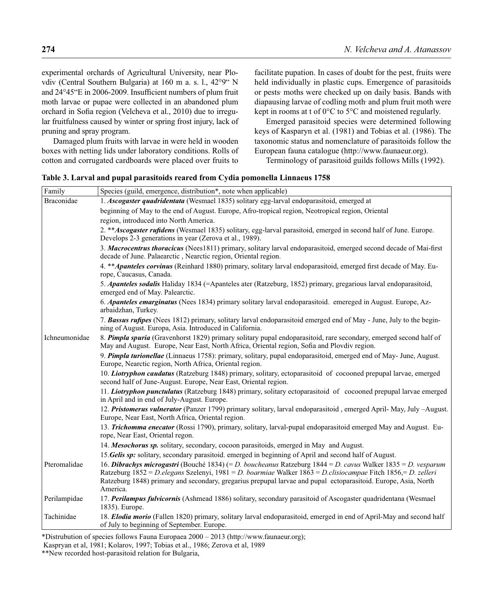experimental orchards of Agricultural University, near Plovdiv (Central Southern Bulgaria) at 160 m a. s. l., 42°9" N and 24°45"E in 2006-2009. Insufficient numbers of plum fruit moth larvae or pupae were collected in an abandoned plum orchard in Sofia region (Velcheva et al., 2010) due to irregular fruitfulness caused by winter or spring frost injury, lack of pruning and spray program.

Damaged plum fruits with larvae in were held in wooden boxes with netting lids under laboratory conditions. Rolls of cotton and corrugated cardboards were placed over fruits to

facilitate pupation. In cases of doubt for the pest, fruits were held individually in plastic cups. Emergence of parasitoids or pests, moths were checked up on daily basis. Bands with diapausing larvae of codling moth, and plum fruit moth were kept in rooms at t of 0°C to 5°C and moistened regularly.

Emerged parasitoid species were determined following keys of Kasparyn et al. (1981) and Tobias et al. (1986). The taxonomic status and nomenclature of parasitoids follow the European fauna catalogue (http://www.faunaeur.org).

Terminology of parasitoid guilds follows Mills (1992).

| Family        | Species (guild, emergence, distribution*, note when applicable)                                                                                                                                                                                                                                                                                            |
|---------------|------------------------------------------------------------------------------------------------------------------------------------------------------------------------------------------------------------------------------------------------------------------------------------------------------------------------------------------------------------|
| Braconidae    | 1. Ascogaster quadridentata (Wesmael 1835) solitary egg-larval endoparasitoid, emerged at                                                                                                                                                                                                                                                                  |
|               | beginning of May to the end of August. Europe, Afro-tropical region, Neotropical region, Oriental                                                                                                                                                                                                                                                          |
|               | region, introduced into North America.                                                                                                                                                                                                                                                                                                                     |
|               | 2. ** Ascogaster rufidens (Wesmael 1835) solitary, egg-larval parasitoid, emerged in second half of June. Europe.<br>Develops 2-3 generations in year (Zerova et al., 1989).                                                                                                                                                                               |
|               | 3. Macrocentrus thoracicus (Nees1811) primary, solitary larval endoparasitoid, emerged second decade of Mai-first<br>decade of June. Palaearctic, Nearctic region, Oriental region.                                                                                                                                                                        |
|               | 4. ** Apanteles corvinus (Reinhard 1880) primary, solitary larval endoparasitoid, emerged first decade of May. Eu-<br>rope, Caucasus, Canada.                                                                                                                                                                                                              |
|               | 5. Apanteles sodalis Haliday 1834 (=Apanteles ater (Ratzeburg, 1852) primary, gregarious larval endoparasitoid,<br>emerged end of May. Palearctic.                                                                                                                                                                                                         |
|               | 6. Apanteles emarginatus (Nees 1834) primary solitary larval endoparasitoid. emereged in August. Europe, Az-<br>arbaidzhan, Turkey.                                                                                                                                                                                                                        |
|               | 7. Bassus rufipes (Nees 1812) primary, solitary larval endoparasitoid emerged end of May - June, July to the begin-<br>ning of August. Europa, Asia. Introduced in California.                                                                                                                                                                             |
| Ichneumonidae | 8. Pimpla spuria (Gravenhorst 1829) primary solitary pupal endoparasitoid, rare secondary, emerged second half of<br>May and August. Europe, Near East, North Africa, Oriental region, Sofia and Plovdiv region.                                                                                                                                           |
|               | 9. Pimpla turionellae (Linnaeus 1758): primary, solitary, pupal endoparasitoid, emerged end of May- June, August.<br>Europe, Nearctic region, North Africa, Oriental region.                                                                                                                                                                               |
|               | 10. Liotryphon caudatus (Ratzeburg 1848) primary, solitary, ectoparasitoid of cocooned prepupal larvae, emerged<br>second half of June-August. Europe, Near East, Oriental region.                                                                                                                                                                         |
|               | 11. Liotryphon punctulatus (Ratzeburg 1848) primary, solitary ectoparasitoid of cocooned prepupal larvae emerged<br>in April and in end of July-August. Europe.                                                                                                                                                                                            |
|               | 12. Pristomerus vulnerator (Panzer 1799) primary solitary, larval endoparasitoid, emerged April-May, July -August.<br>Europe, Near East, North Africa, Oriental region.                                                                                                                                                                                    |
|               | 13. Trichomma enecator (Rossi 1790), primary, solitary, larval-pupal endoparasitoid emerged May and August. Eu-<br>rope, Near East, Oriental regon.                                                                                                                                                                                                        |
|               | 14. Mesochorus sp. solitary, secondary, cocoon parasitoids, emerged in May and August.                                                                                                                                                                                                                                                                     |
|               | 15. Gelis sp: solitary, secondary parasitoid. emerged in beginning of April and second half of August.                                                                                                                                                                                                                                                     |
| Pteromalidae  | 16. Dibrachys microgastri (Bouché 1834) (= D. boucheanus Ratzeburg 1844 = D. cavus Walker 1835 = D. vesparum<br>Ratzeburg 1852 = D.elegans Szelenyi, 1981 = D. boarmiae Walker 1863 = D.clisiocampae Fitch 1856,= D. zelleri<br>Ratzeburg 1848) primary and secondary, gregarius prepupal larvae and pupal ectoparasitoid. Europe, Asia, North<br>America. |
| Perilampidae  | 17. Perilampus fulvicornis (Ashmead 1886) solitary, secondary parasitoid of Ascogaster quadridentana (Wesmael<br>1835). Europe.                                                                                                                                                                                                                            |
| Tachinidae    | 18. Elodia morio (Fallen 1820) primary, solitary larval endoparasitoid, emerged in end of April-May and second half<br>of July to beginning of September. Europe.                                                                                                                                                                                          |

\*Distrubution of species follows Fauna Europaea 2000 – 2013 (http://www.faunaeur.org);

Kaspryan et al, 1981; Kolarov, 1997; Tobias et al., 1986; Zerova et al, 1989

\*\*New recorded host-parasitoid relation for Bulgaria,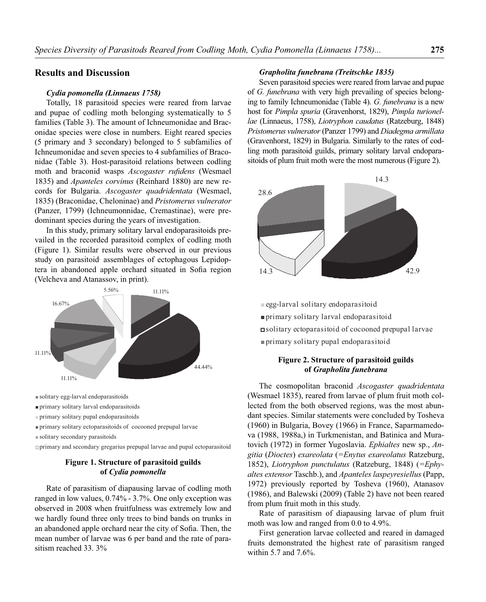### **Results and Discussion**

#### *Cydia pomonella (Linnaeus 1758)*

Totally, 18 parasitoid species were reared from larvae and pupae of codling moth belonging systematically to 5 families (Table 3). The amount of Ichneumonidae and Braconidae species were close in numbers. Eight reared species (5 primary and 3 secondary) belonged to 5 subfamilies of Ichneumonidae and seven species to 4 subfamilies of Braconidae (Table 3). Host-parasitoid relations between codling moth and braconid wasps *Ascogaster rufidens* (Wesmael 1835) and *Apanteles corvinus* (Reinhard 1880) are new records for Bulgaria. *Ascogaster quadridentata* (Wesmael, 1835) (Braconidae, Cheloninae) and *Pristomerus vulnerator* (Panzer, 1799) (Ichneumonnidae, Cremastinae), were predominant species during the years of investigation.

In this study, primary solitary larval endoparasitoids prevailed in the recorded parasitoid complex of codling moth (Figure 1). Similar results were observed in our previous study on parasitoid assemblages of ectophagous Lepidoptera in abandoned apple orchard situated in Sofia region (Velcheva and Atanassov, in print).



primary solitary larval endoparasitoids primary solitary larval endoparasitoids

primary solitary pupal endoparasitoids primary solitary pupal endoparasitoids

primary solitary ectoparasitoids of cocooned prepupal larvae primary solitary ectoparasitoids of cocooned prepupal larvae

solitary secondary parasitoids solitary secondary parasitoids

primary and secondary gregarius prepupal larvae and pupal ectoparasitoid primary and secondary gregarius prepupal larvae and pupal ectoparasitoid

### **Figure 1. Structure of parasitoid guilds of** *Cydia pomonella*

Rate of parasitism of diapausing larvae of codling moth ranged in low values, 0.74% - 3.7%. One only exception was observed in 2008 when fruitfulness was extremely low and we hardly found three only trees to bind bands on trunks in an abandoned apple orchard near the city of Sofia. Then, the mean number of larvae was 6 per band and the rate of parasitism reached 33. 3%

### *Grapholita funebrana (Treitschke 1835)*

Seven parasitoid species were reared from larvae and pupae of *G. funebrana* with very high prevailing of species belonging to family Ichneumonidae (Table 4). *G. funebrana* is a new host for *Pimpla spuria* (Gravenhorst, 1829), *Pimpla turionellae* (Linnaeus, 1758), *Liotryphon caudatus* (Ratzeburg, 1848) *Pristomerus vulnerator* (Panzer 1799) and *Diadegma armillata*  (Gravenhorst, 1829) in Bulgaria. Similarly to the rates of codling moth parasitoid guilds, primary solitary larval endoparasitoids of plum fruit moth were the most numerous (Figure 2).



egg-larval solitary endoparasitoid primary solitary larval endoparasitoid solitary ectoparasitoid of cocooned prepupal larvae primary solitary pupal endoparasitoid

### **Figure 2. Structure of parasitoid guilds of** *Grapholita funebrana*

The cosmopolitan braconid *Ascogaster quadridentata* (Wesmael 1835), reared from larvae of plum fruit moth collected from the both observed regions, was the most abundant species. Similar statements were concluded by Tosheva (1960) in Bulgaria, Bovey (1966) in France, Saparmamedova (1988, 1988a,) in Turkmenistan, and Batinica and Muratovich (1972) in former Yugoslavia. *Ephialtes* new sp., *Angitia* (*Dioctes*) *exareolata* (*=Enytus exareolatus* Ratzeburg, 1852), *Liotryphon punctulatus* (Ratzeburg, 1848) (*=Ephyaltes extensor* Taschb.), and *Apanteles laspeyresiellus* (Papp, 1972) previously reported by Tosheva (1960), Atanasov (1986), and Balewski (2009) (Table 2) have not been reared from plum fruit moth in this study.

Rate of parasitism of diapausing larvae of plum fruit moth was low and ranged from 0.0 to 4.9%.

First generation larvae collected and reared in damaged fruits demonstrated the highest rate of parasitism ranged within 5.7 and 7.6%.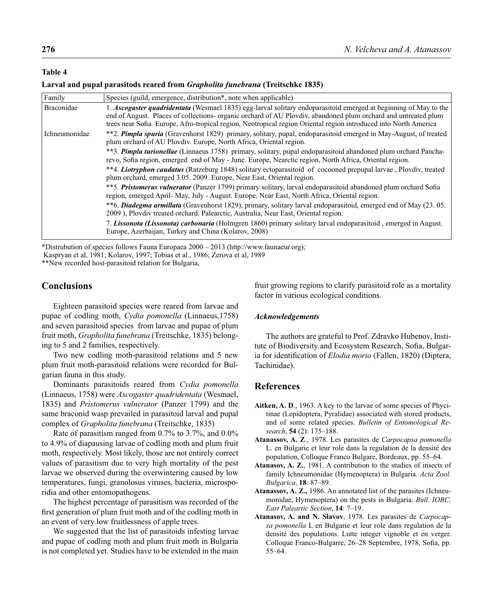### **Table 4**

#### **Larval and pupal parasitods reared from** *Grapholita funebrana* **(Treitschke 1835)**

| Family               | Species (guild, emergence, distribution <sup>*</sup> , note when applicable)                                                                                                                                                                                                                                                                           |
|----------------------|--------------------------------------------------------------------------------------------------------------------------------------------------------------------------------------------------------------------------------------------------------------------------------------------------------------------------------------------------------|
| Braconidae           | 1. Ascogaster quadridentata (Wesmael 1835) egg-larval solitary endoparasitoid emerged at beginning of May to the<br>end of August. Places of collections- organic orchard of AU Plovdiv, abandoned plum orchard and untreated plum<br>trees near Sofia. Europe, Afro-tropical region, Neotropical region Oriental region introduced into North America |
| <b>Ichneumonidae</b> | **2. Pimpla spuria (Gravenhorst 1829) primary, solitary, pupal, endoparasitoid emerged in May-August, of treated<br>plum orchard of AU Plovdiv. Europe, North Africa, Oriental region.                                                                                                                                                                 |
|                      | **3. <b>Pimpla turionellae</b> (Linnaeus 1758) primary, solitary, pupal endoparasitoid abandoned plum orchard Pancha-<br>revo, Sofia region, emerged end of May - June. Europe, Nearctic region, North Africa, Oriental region.                                                                                                                        |
|                      | **4. Liotryphon caudatus (Ratzeburg 1848) solitary ectoparasitoid of cocooned prepupal larvae, Plovdiv, treated<br>plum orchard, emerged 3.05. 2009. Europe, Near East, Oriental region.                                                                                                                                                               |
|                      | ** 5. Pristomerus vulnerator (Panzer 1799) primary solitary, larval endoparasitoid abandoned plum orchard Sofia<br>region, emerged April- May, July - August. Europe, Near East, North Africa, Oriental region.                                                                                                                                        |
|                      | **6. Diadegma armillata (Gravenhorst 1829), primary, solitary larval endoparasitoid, emerged end of May (23.05.<br>2009), Plovdiv treated orchard. Palearctic, Australia, Near East, Oriental region.                                                                                                                                                  |
|                      | 7. Lissonota (Lissonota) carbonaria (Holmgren 1860) primary solitary larval endoparasitoid, emerged in August.<br>Europe, Azerbaijan, Turkey and China (Kolarov, 2008)                                                                                                                                                                                 |

\*Distrubution of species follows Fauna Europaea 2000 – 2013 (http://www.faunaeur.org);

Kaspryan et al, 1981; Kolarov, 1997; Tobias et al., 1986; Zerova et al, 1989

\*\*New recorded host-parasitoid relation for Bulgaria,

# **Conclusions**

Eighteen parasitoid species were reared from larvae and pupae of codling moth, *Cydia pomonella* (Linnaeus,1758) and seven parasitoid species from larvae and pupae of plum fruit moth, *Grapholita funebrana* (Treitschke, 1835) belonging to 5 and 2 families, respectively.

Two new codling moth-parasitoid relations and 5 new plum fruit moth-parasitoid relations were recorded for Bulgarian fauna in this study.

Dominants parasitoids reared from *Cydia pomonella* (Linnaeus, 1758) were *Ascogaster quadridentata* (Wesmael, 1835) and *Pristomerus vulnerator* (Panzer 1799) and the same braconid wasp prevailed in parasitoid larval and pupal complex of *Grapholita funebrana* (Treitschke, 1835)

Rate of parasitism ranged from 0.7% to 3.7%, and 0.0% to 4.9% of diapausing larvae of codling moth and plum fruit moth, respectively. Most likely, those are not entirely correct values of parasitism due to very high mortality of the pest larvae we observed during the overwintering caused by low temperatures, fungi, granolosus viruses, bacteria, microsporidia and other entomopathogens.

The highest percentage of parasitism was recorded of the first generation of plum fruit moth and of the codling moth in an event of very low fruitlessness of apple trees.

We suggested that the list of parasitoids infesting larvae and pupae of codling moth and plum fruit moth in Bulgaria is not completed yet. Studies have to be extended in the main fruit growing regions to clarify parasitoid role as a mortality factor in various ecological conditions.

#### *Acknowledgements*

The authors are grateful to Prof. Zdravko Hubenov, Institute of Biodiversity and Ecosystem Research, Sofia, Bulgaria for identification of *Elodia morio* (Fallen, 1820) (Diptera, Tachinidae).

### **References**

- **Aitken, A. D**., 1963. A key to the larvae of some species of Phycitinae (Lepidoptera, Pyralidae) associated with stored products, and of some related species. *Bulletin of Entomological Research*, **54** (2): 175–188.
- **Atanassov, A. Z**., 1978. Les parasites de *Carpocapsa pomonella* L. en Bulgarie et leur role dans la regulation de la densité des population, Colloque Franco Bulgare, Bordeaux, pp. 55–64.
- **Atanasov, A. Z.**, 1981. A contribution to the studies of insects of family Ichneumonidae (Hymenoptera) in Bulgaria. *Acta Zool. Bulgarica*, **18**: 87–89.
- **Atanassov, A. Z.,** 1986. An annotated list of the parasites (Ichneumonidae, Hymenoptera) on the pests in Bulgaria. *Bull. IOBC, East Paleartic Section*, **14**: 7–19.
- **Atanasov, A. and N. Slavov**, 1978. Les parasites de *Carpocapsa pomonella* L en Bulgarie et leur role dans regulation de la densité des populations. Lutte integer vignoble et en verger. Colloque Franco-Bulgarre, 26-28 Septembre, 1978, Sofia, pp. 55–64.